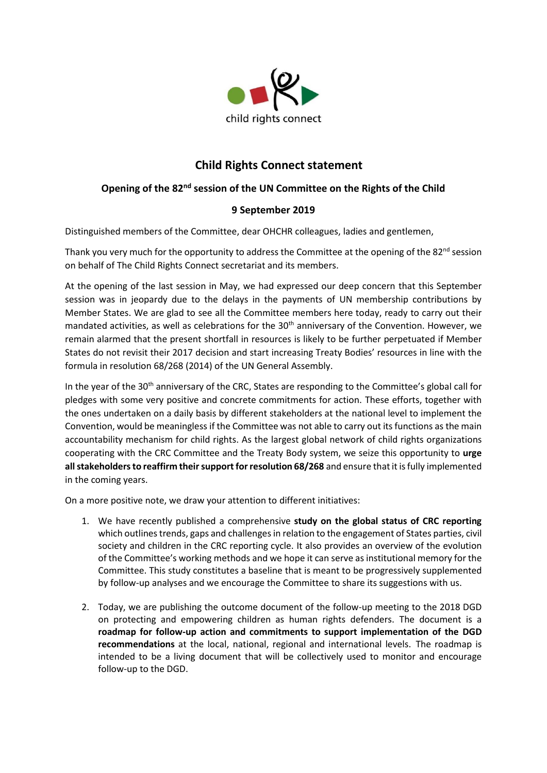

## **Child Rights Connect statement**

## Opening of the 82<sup>nd</sup> session of the UN Committee on the Rights of the Child

## **9 September 2019**

Distinguished members of the Committee, dear OHCHR colleagues, ladies and gentlemen,

Thank you very much for the opportunity to address the Committee at the opening of the 82<sup>nd</sup> session on behalf of The Child Rights Connect secretariat and its members.

At the opening of the last session in May, we had expressed our deep concern that this September session was in jeopardy due to the delays in the payments of UN membership contributions by Member States. We are glad to see all the Committee members here today, ready to carry out their mandated activities, as well as celebrations for the 30<sup>th</sup> anniversary of the Convention. However, we remain alarmed that the present shortfall in resources is likely to be further perpetuated if Member States do not revisit their 2017 decision and start increasing Treaty Bodies' resources in line with the formula in resolution 68/268 (2014) of the UN General Assembly.

In the year of the 30<sup>th</sup> anniversary of the CRC, States are responding to the Committee's global call for pledges with some very positive and concrete commitments for action. These efforts, together with the ones undertaken on a daily basis by different stakeholders at the national level to implement the Convention, would be meaningless if the Committee was not able to carry out its functions as the main accountability mechanism for child rights. As the largest global network of child rights organizations cooperating with the CRC Committee and the Treaty Body system, we seize this opportunity to **urge all stakeholders to reaffirm their support for resolution 68/268** and ensure that it is fully implemented in the coming years.

On a more positive note, we draw your attention to different initiatives:

- 1. We have recently published a comprehensive **study on the global status of CRC reporting** which outlines trends, gaps and challenges in relation to the engagement of States parties, civil society and children in the CRC reporting cycle. It also provides an overview of the evolution of the Committee's working methods and we hope it can serve as institutional memory for the Committee. This study constitutes a baseline that is meant to be progressively supplemented by follow-up analyses and we encourage the Committee to share its suggestions with us.
- 2. Today, we are publishing the outcome document of the follow-up meeting to the 2018 DGD on protecting and empowering children as human rights defenders. The document is a **roadmap for follow-up action and commitments to support implementation of the DGD recommendations** at the local, national, regional and international levels. The roadmap is intended to be a living document that will be collectively used to monitor and encourage follow-up to the DGD.